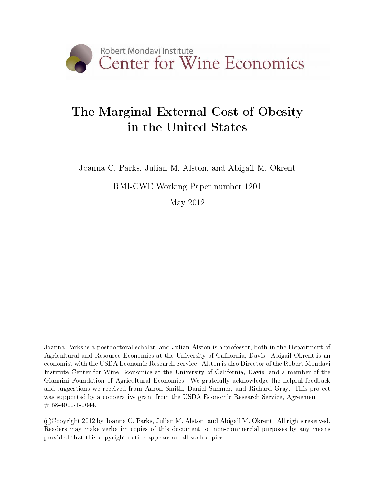

# The Marginal External Cost of Obesity in the United States

Joanna C. Parks, Julian M. Alston, and Abigail M. Okrent

RMI-CWE Working Paper number 1201

May 2012

Joanna Parks is a postdoctoral scholar, and Julian Alston is a professor, both in the Department of Agricultural and Resource Economics at the University of California, Davis. Abigail Okrent is an economist with the USDA Economic Research Service. Alston is also Director of the Robert Mondavi Institute Center for Wine Economics at the University of California, Davis, and a member of the Giannini Foundation of Agricultural Economics. We gratefully acknowledge the helpful feedback and suggestions we received from Aaron Smith, Daniel Sumner, and Richard Gray. This project was supported by a cooperative grant from the USDA Economic Research Service, Agreement  $\# 58 - 4000 - 1 - 0044.$ 

©Copyright 2012 by Joanna C. Parks, Julian M. Alston, and Abigail M. Okrent. All rights reserved. Readers may make verbatim copies of this document for non-commercial purposes by any means provided that this copyright notice appears on all such copies.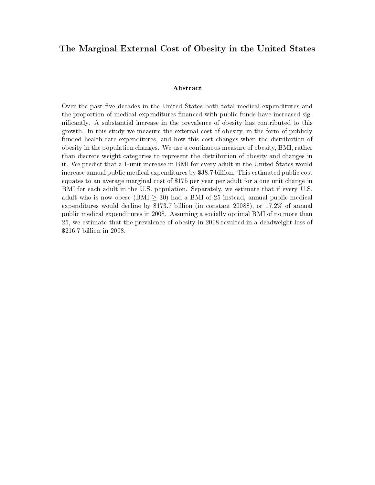#### The Marginal External Cost of Obesity in the United States

#### Abstract

Over the past five decades in the United States both total medical expenditures and the proportion of medical expenditures financed with public funds have increased signicantly. A substantial increase in the prevalence of obesity has contributed to this growth. In this study we measure the external cost of obesity, in the form of publicly funded health-care expenditures, and how this cost changes when the distribution of obesity in the population changes. We use a continuous measure of obesity, BMI, rather than discrete weight categories to represent the distribution of obesity and changes in it. We predict that a 1-unit increase in BMI for every adult in the United States would increase annual public medical expenditures by \$38.7 billion. This estimated public cost equates to an average marginal cost of \$175 per year per adult for a one unit change in BMI for each adult in the U.S. population. Separately, we estimate that if every U.S. adult who is now obese (BMI  $\geq$  30) had a BMI of 25 instead, annual public medical expenditures would decline by \$173.7 billion (in constant 2008\$), or 17.2% of annual public medical expenditures in 2008. Assuming a socially optimal BMI of no more than 25, we estimate that the prevalence of obesity in 2008 resulted in a deadweight loss of \$216.7 billion in 2008.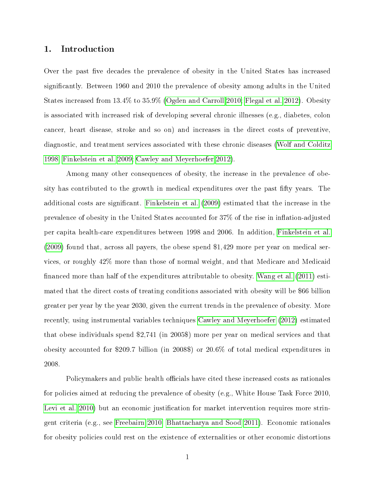#### 1. Introduction

Over the past five decades the prevalence of obesity in the United States has increased signicantly. Between 1960 and 2010 the prevalence of obesity among adults in the United States increased from 13.4% to 35.9% [\(Ogden and Carroll 2010;](#page-24-0) [Flegal et al. 2012\)](#page-23-0). Obesity is associated with increased risk of developing several chronic illnesses (e.g., diabetes, colon cancer, heart disease, stroke and so on) and increases in the direct costs of preventive, diagnostic, and treatment services associated with these chronic diseases [\(Wolf and Colditz](#page-24-1) [1998;](#page-24-1) [Finkelstein et al. 2009;](#page-23-1) [Cawley and Meyerhoefer 2012\)](#page-23-2).

Among many other consequences of obesity, the increase in the prevalence of obesity has contributed to the growth in medical expenditures over the past fifty years. The additional costs are signicant. [Finkelstein et al.](#page-23-1) [\(2009\)](#page-23-1) estimated that the increase in the prevalence of obesity in the United States accounted for  $37\%$  of the rise in inflation-adjusted per capita health-care expenditures between 1998 and 2006. In addition, [Finkelstein et al.](#page-23-1) [\(2009\)](#page-23-1) found that, across all payers, the obese spend \$1,429 more per year on medical services, or roughly 42% more than those of normal weight, and that Medicare and Medicaid financed more than half of the expenditures attributable to obesity. [Wang et al.](#page-24-2) [\(2011\)](#page-24-2) estimated that the direct costs of treating conditions associated with obesity will be \$66 billion greater per year by the year 2030, given the current trends in the prevalence of obesity. More recently, using instrumental variables techniques [Cawley and Meyerhoefer](#page-23-2) [\(2012\)](#page-23-2) estimated that obese individuals spend \$2,741 (in 2005\$) more per year on medical services and that obesity accounted for \$209.7 billion (in 2008\$) or 20.6% of total medical expenditures in 2008.

Policymakers and public health officials have cited these increased costs as rationales for policies aimed at reducing the prevalence of obesity (e.g., White House Task Force 2010, [Levi et al. 2010\)](#page-24-3) but an economic justification for market intervention requires more stringent criteria (e.g., see [Freebairn 2010,](#page-23-3) [Bhattacharya and Sood 2011\)](#page-23-4). Economic rationales for obesity policies could rest on the existence of externalities or other economic distortions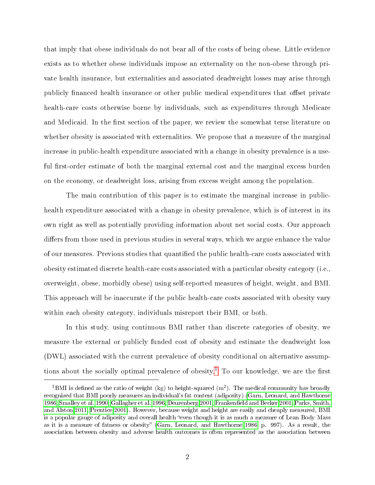that imply that obese individuals do not bear all of the costs of being obese. Little evidence exists as to whether obese individuals impose an externality on the non-obese through private health insurance, but externalities and associated deadweight losses may arise through publicly financed health insurance or other public medical expenditures that offset private health-care costs otherwise borne by individuals, such as expenditures through Medicare and Medicaid. In the first section of the paper, we review the somewhat terse literature on whether obesity is associated with externalities. We propose that a measure of the marginal increase in public-health expenditure associated with a change in obesity prevalence is a useful first-order estimate of both the marginal external cost and the marginal excess burden on the economy, or deadweight loss, arising from excess weight among the population.

The main contribution of this paper is to estimate the marginal increase in publichealth expenditure associated with a change in obesity prevalence, which is of interest in its own right as well as potentially providing information about net social costs. Our approach differs from those used in previous studies in several ways, which we argue enhance the value of our measures. Previous studies that quantified the public health-care costs associated with obesity estimated discrete health-care costs associated with a particular obesity category (i.e., overweight, obese, morbidly obese) using self-reported measures of height, weight, and BMI. This approach will be inaccurate if the public health-care costs associated with obesity vary within each obesity category, individuals misreport their BMI, or both.

In this study, using continuous BMI rather than discrete categories of obesity, we measure the external or publicly funded cost of obesity and estimate the deadweight loss (DWL) associated with the current prevalence of obesity conditional on alternative assump-tions about the socially optimal prevalence of obesity.<sup>[1](#page-3-0)</sup> To our knowledge, we are the first

<span id="page-3-0"></span><sup>&</sup>lt;sup>1</sup>BMI is defined as the ratio of weight (kg) to height-squared  $(m^2)$ . The medical community has broadly recognized that BMI poorly measures an individual's fat content (adiposity) [\(Garn, Leonard, and Hawthorne](#page-24-4) [1986;](#page-24-4) [Smalley et al. 1990;](#page-24-5) [Gallagher et al. 1996;](#page-23-5) [Deurenberg 2001;](#page-23-6) Frankenfield and Becker 2001; [Parks, Smith,](#page-24-6) [and Alston 2011;](#page-24-6) [Prentice 2001\)](#page-24-7). However, because weight and height are easily and cheaply measured, BMI is a popular gauge of adiposity and overall health "even though it is as much a measure of Lean Body Mass as it is a measure of fatness or obesity" [\(Garn, Leonard, and Hawthorne 1986,](#page-24-4) p. 997). As a result, the association between obesity and adverse health outcomes is often represented as the association between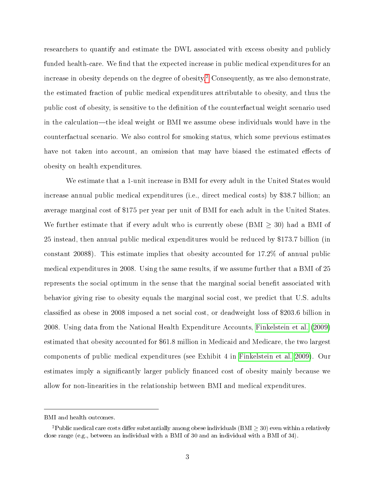researchers to quantify and estimate the DWL associated with excess obesity and publicly funded health-care. We find that the expected increase in public medical expenditures for an increase in obesity depends on the degree of obesity.<sup>[2](#page-4-0)</sup> Consequently, as we also demonstrate, the estimated fraction of public medical expenditures attributable to obesity, and thus the public cost of obesity, is sensitive to the definition of the counterfactual weight scenario used in the calculation—the ideal weight or BMI we assume obese individuals would have in the counterfactual scenario. We also control for smoking status, which some previous estimates have not taken into account, an omission that may have biased the estimated effects of obesity on health expenditures.

We estimate that a 1-unit increase in BMI for every adult in the United States would increase annual public medical expenditures (i.e., direct medical costs) by \$38.7 billion; an average marginal cost of \$175 per year per unit of BMI for each adult in the United States. We further estimate that if every adult who is currently obese (BMI  $\geq$  30) had a BMI of 25 instead, then annual public medical expenditures would be reduced by \$173.7 billion (in constant 2008\$). This estimate implies that obesity accounted for 17.2% of annual public medical expenditures in 2008. Using the same results, if we assume further that a BMI of 25 represents the social optimum in the sense that the marginal social benefit associated with behavior giving rise to obesity equals the marginal social cost, we predict that U.S. adults classified as obese in 2008 imposed a net social cost, or deadweight loss of \$203.6 billion in 2008. Using data from the National Health Expenditure Accounts, [Finkelstein et al.](#page-23-1) [\(2009\)](#page-23-1) estimated that obesity accounted for \$61.8 million in Medicaid and Medicare, the two largest components of public medical expenditures (see Exhibit 4 in [Finkelstein et al. 2009\)](#page-23-1). Our estimates imply a significantly larger publicly financed cost of obesity mainly because we allow for non-linearities in the relationship between BMI and medical expenditures.

BMI and health outcomes.

<span id="page-4-0"></span><sup>&</sup>lt;sup>2</sup>Public medical care costs differ substantially among obese individuals ( $BMI > 30$ ) even within a relatively close range (e.g., between an individual with a BMI of 30 and an individual with a BMI of 34).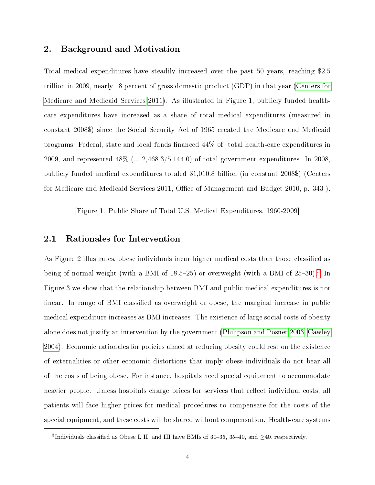#### 2. Background and Motivation

Total medical expenditures have steadily increased over the past 50 years, reaching \$2.5 trillion in 2009, nearly 18 percent of gross domestic product (GDP) in that year [\(Centers for](#page-23-8) [Medicare and Medicaid Services 2011\)](#page-23-8). As illustrated in Figure 1, publicly funded healthcare expenditures have increased as a share of total medical expenditures (measured in constant 2008\$) since the Social Security Act of 1965 created the Medicare and Medicaid programs. Federal, state and local funds financed  $44\%$  of total health-care expenditures in 2009, and represented  $48\%$  (= 2,468.3/5,144.0) of total government expenditures. In 2008, publicly funded medical expenditures totaled \$1,010.8 billion (in constant 2008\$) (Centers for Medicare and Medicaid Services 2011, Office of Management and Budget 2010, p. 343).

[Figure 1. Public Share of Total U.S. Medical Expenditures, 1960-2009]

#### 2.1 Rationales for Intervention

As Figure 2 illustrates, obese individuals incur higher medical costs than those classified as being of normal weight (with a BMI of  $18.5-25$ ) or overweight (with a BMI of  $25-30$  $25-30$  $25-30$ ).<sup>3</sup> In Figure 3 we show that the relationship between BMI and public medical expenditures is not linear. In range of BMI classified as overweight or obese, the marginal increase in public medical expenditure increases as BMI increases. The existence of large social costs of obesity alone does not justify an intervention by the government [\(Philipson and Posner 2003;](#page-24-8) [Cawley](#page-23-9) [2004\)](#page-23-9). Economic rationales for policies aimed at reducing obesity could rest on the existence of externalities or other economic distortions that imply obese individuals do not bear all of the costs of being obese. For instance, hospitals need special equipment to accommodate heavier people. Unless hospitals charge prices for services that reflect individual costs, all patients will face higher prices for medical procedures to compensate for the costs of the special equipment, and these costs will be shared without compensation. Health-care systems

<span id="page-5-0"></span><sup>&</sup>lt;sup>3</sup>Individuals classified as Obese I, II, and III have BMIs of 30-35, 35-40, and  $\geq$ 40, respectively.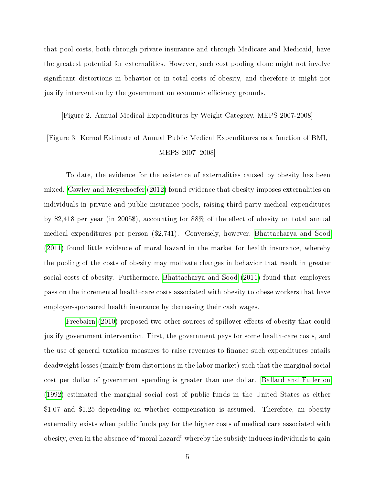that pool costs, both through private insurance and through Medicare and Medicaid, have the greatest potential for externalities. However, such cost pooling alone might not involve signicant distortions in behavior or in total costs of obesity, and therefore it might not justify intervention by the government on economic efficiency grounds.

[Figure 2. Annual Medical Expenditures by Weight Category, MEPS 2007-2008]

### [Figure 3. Kernal Estimate of Annual Public Medical Expenditures as a function of BMI, MEPS 2007-2008]

To date, the evidence for the existence of externalities caused by obesity has been mixed. [Cawley and Meyerhoefer](#page-23-2) [\(2012\)](#page-23-2) found evidence that obesity imposes externalities on individuals in private and public insurance pools, raising third-party medical expenditures by \$2,418 per year (in 2005\$), accounting for 88% of the effect of obesity on total annual medical expenditures per person (\$2,741). Conversely, however, [Bhattacharya and Sood](#page-23-4) [\(2011\)](#page-23-4) found little evidence of moral hazard in the market for health insurance, whereby the pooling of the costs of obesity may motivate changes in behavior that result in greater social costs of obesity. Furthermore, [Bhattacharya and Sood](#page-23-4) [\(2011\)](#page-23-4) found that employers pass on the incremental health-care costs associated with obesity to obese workers that have employer-sponsored health insurance by decreasing their cash wages.

[Freebairn](#page-23-3) [\(2010\)](#page-23-3) proposed two other sources of spillover effects of obesity that could justify government intervention. First, the government pays for some health-care costs, and the use of general taxation measures to raise revenues to finance such expenditures entails deadweight losses (mainly from distortions in the labor market) such that the marginal social cost per dollar of government spending is greater than one dollar. [Ballard and Fullerton](#page-23-10) [\(1992\)](#page-23-10) estimated the marginal social cost of public funds in the United States as either \$1.07 and \$1.25 depending on whether compensation is assumed. Therefore, an obesity externality exists when public funds pay for the higher costs of medical care associated with obesity, even in the absence of "moral hazard" whereby the subsidy induces individuals to gain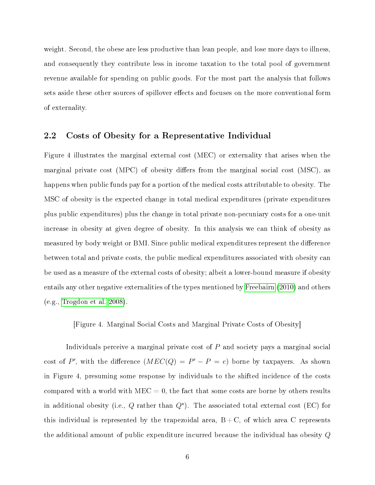weight. Second, the obese are less productive than lean people, and lose more days to illness, and consequently they contribute less in income taxation to the total pool of government revenue available for spending on public goods. For the most part the analysis that follows sets aside these other sources of spillover effects and focuses on the more conventional form of externality.

#### 2.2 Costs of Obesity for a Representative Individual

Figure 4 illustrates the marginal external cost (MEC) or externality that arises when the marginal private cost  $(MPC)$  of obesity differs from the marginal social cost  $(MSC)$ , as happens when public funds pay for a portion of the medical costs attributable to obesity. The MSC of obesity is the expected change in total medical expenditures (private expenditures plus public expenditures) plus the change in total private non-pecuniary costs for a one-unit increase in obesity at given degree of obesity. In this analysis we can think of obesity as measured by body weight or BMI. Since public medical expenditures represent the difference between total and private costs, the public medical expenditures associated with obesity can be used as a measure of the external costs of obesity; albeit a lower-bound measure if obesity entails any other negative externalities of the types mentioned by [Freebairn](#page-23-3) [\(2010\)](#page-23-3) and others (e.g., [Trogdon et al. 2008\)](#page-24-9).

[Figure 4. Marginal Social Costs and Marginal Private Costs of Obesity]

Individuals perceive a marginal private cost of P and society pays a marginal social cost of P', with the difference  $(MEC(Q) = P' - P = e)$  borne by taxpayers. As shown in Figure 4, presuming some response by individuals to the shifted incidence of the costs compared with a world with  $MEC = 0$ , the fact that some costs are borne by others results in additional obesity (i.e.,  $Q$  rather than  $Q^{\star}$ ). The associated total external cost (EC) for this individual is represented by the trapezoidal area,  $B+C$ , of which area C represents the additional amount of public expenditure incurred because the individual has obesity Q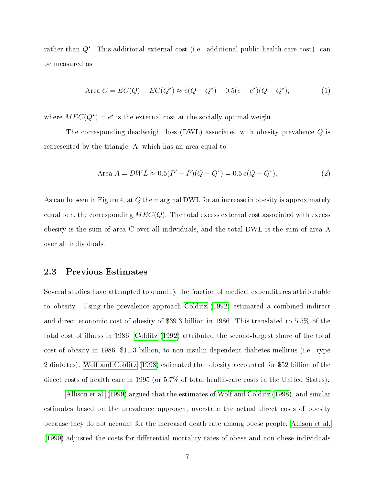rather than  $Q^*$ . This additional external cost (i.e., additional public health-care cost) can be measured as

Area 
$$
C = EC(Q) - EC(Q^*) \approx e(Q - Q^*) - 0.5(e - e^*)(Q - Q^*),
$$
 (1)

where  $MEC(Q^*) = e^*$  is the external cost at the socially optimal weight.

The corresponding deadweight loss (DWL) associated with obesity prevalence Q is represented by the triangle, A, which has an area equal to

Area 
$$
A = DWL \approx 0.5(P' - P)(Q - Q^*) = 0.5 e(Q - Q^*)
$$
. (2)

As can be seen in Figure 4, at  $Q$  the marginal DWL for an increase in obesity is approximately equal to e, the corresponding  $MEC(Q)$ . The total excess external cost associated with excess obesity is the sum of area C over all individuals, and the total DWL is the sum of area A over all individuals.

#### 2.3 Previous Estimates

Several studies have attempted to quantify the fraction of medical expenditures attributable to obesity. Using the prevalence approach [Colditz](#page-23-11) [\(1992\)](#page-23-11) estimated a combined indirect and direct economic cost of obesity of \$39.3 billion in 1986. This translated to 5.5% of the total cost of illness in 1986. [Colditz](#page-23-11) [\(1992\)](#page-23-11) attributed the second-largest share of the total cost of obesity in 1986, \$11.3 billion, to non-insulin-dependent diabetes mellitus (i.e., type 2 diabetes). [Wolf and Colditz](#page-24-1) [\(1998\)](#page-24-1) estimated that obesity accounted for \$52 billion of the direct costs of health care in 1995 (or 5.7% of total health-care costs in the United States).

[Allison et al.](#page-23-12) [\(1999\)](#page-23-12) argued that the estimates of [Wolf and Colditz](#page-24-1) [\(1998\)](#page-24-1), and similar estimates based on the prevalence approach, overstate the actual direct costs of obesity because they do not account for the increased death rate among obese people. [Allison et al.](#page-23-12) [\(1999\)](#page-23-12) adjusted the costs for differential mortality rates of obese and non-obese individuals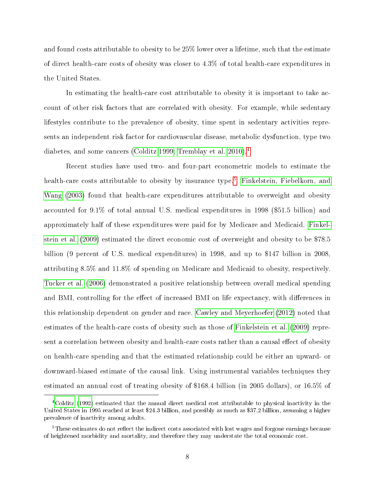and found costs attributable to obesity to be 25% lower over a lifetime, such that the estimate of direct health-care costs of obesity was closer to 4.3% of total health-care expenditures in the United States.

In estimating the health-care cost attributable to obesity it is important to take account of other risk factors that are correlated with obesity. For example, while sedentary lifestyles contribute to the prevalence of obesity, time spent in sedentary activities represents an independent risk factor for cardiovascular disease, metabolic dysfunction, type two diabetes, and some cancers [\(Colditz 1999;](#page-23-13) [Tremblay et al. 2010\)](#page-24-10).<sup>[4](#page-9-0)</sup>

Recent studies have used two- and four-part econometric models to estimate the health-care costs attributable to obesity by insurance type.<sup>[5](#page-9-1)</sup> [Finkelstein, Fiebelkorn, and](#page-23-14) [Wang](#page-23-14) [\(2003\)](#page-23-14) found that health-care expenditures attributable to overweight and obesity accounted for 9.1% of total annual U.S. medical expenditures in 1998 (\$51.5 billion) and approximately half of these expenditures were paid for by Medicare and Medicaid. [Finkel](#page-23-1)[stein et al.](#page-23-1) [\(2009\)](#page-23-1) estimated the direct economic cost of overweight and obesity to be \$78.5 billion (9 percent of U.S. medical expenditures) in 1998, and up to \$147 billion in 2008, attributing 8.5% and 11.8% of spending on Medicare and Medicaid to obesity, respectively. [Tucker et al.](#page-24-11) [\(2006\)](#page-24-11) demonstrated a positive relationship between overall medical spending and BMI, controlling for the effect of increased BMI on life expectancy, with differences in this relationship dependent on gender and race. [Cawley and Meyerhoefer](#page-23-2) [\(2012\)](#page-23-2) noted that estimates of the health-care costs of obesity such as those of [Finkelstein et al.](#page-23-1) [\(2009\)](#page-23-1) represent a correlation between obesity and health-care costs rather than a causal effect of obesity on health-care spending and that the estimated relationship could be either an upward- or downward-biased estimate of the causal link. Using instrumental variables techniques they estimated an annual cost of treating obesity of \$168.4 billion (in 2005 dollars), or 16.5% of

<span id="page-9-0"></span><sup>4</sup>[Colditz](#page-23-11) [\(1992\)](#page-23-11) estimated that the annual direct medical cost attributable to physical inactivity in the United States in 1995 reached at least \$24.3 billion, and possibly as much as \$37.2 billion, assuming a higher prevalence of inactivity among adults.

<span id="page-9-1"></span> $5$ These estimates do not reflect the indirect costs associated with lost wages and forgone earnings because of heightened morbidity and mortality, and therefore they may understate the total economic cost.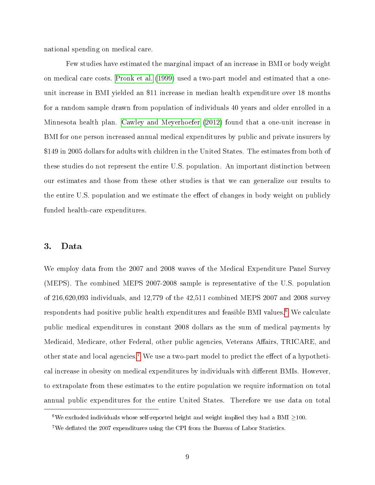national spending on medical care.

Few studies have estimated the marginal impact of an increase in BMI or body weight on medical care costs. [Pronk et al.](#page-24-12) [\(1999\)](#page-24-12) used a two-part model and estimated that a oneunit increase in BMI yielded an \$11 increase in median health expenditure over 18 months for a random sample drawn from population of individuals 40 years and older enrolled in a Minnesota health plan. [Cawley and Meyerhoefer](#page-23-2) [\(2012\)](#page-23-2) found that a one-unit increase in BMI for one person increased annual medical expenditures by public and private insurers by \$149 in 2005 dollars for adults with children in the United States. The estimates from both of these studies do not represent the entire U.S. population. An important distinction between our estimates and those from these other studies is that we can generalize our results to the entire U.S. population and we estimate the effect of changes in body weight on publicly funded health-care expenditures.

#### 3. Data

We employ data from the 2007 and 2008 waves of the Medical Expenditure Panel Survey (MEPS). The combined MEPS 2007-2008 sample is representative of the U.S. population of 216,620,093 individuals, and 12,779 of the 42,511 combined MEPS 2007 and 2008 survey respondents had positive public health expenditures and feasible BMI values.<sup>[6](#page-10-0)</sup> We calculate public medical expenditures in constant 2008 dollars as the sum of medical payments by Medicaid, Medicare, other Federal, other public agencies, Veterans Affairs, TRICARE, and other state and local agencies.<sup>[7](#page-10-1)</sup> We use a two-part model to predict the effect of a hypothetical increase in obesity on medical expenditures by individuals with different BMIs. However, to extrapolate from these estimates to the entire population we require information on total annual public expenditures for the entire United States. Therefore we use data on total

<span id="page-10-0"></span><sup>&</sup>lt;sup>6</sup>We excluded individuals whose self-reported height and weight implied they had a BMI  $\geq$ 100.

<span id="page-10-1"></span><sup>&</sup>lt;sup>7</sup>We deflated the 2007 expenditures using the CPI from the Bureau of Labor Statistics.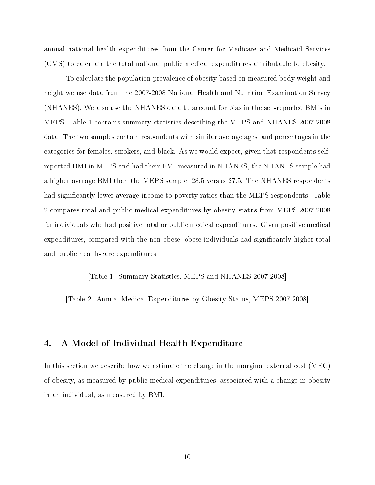annual national health expenditures from the Center for Medicare and Medicaid Services (CMS) to calculate the total national public medical expenditures attributable to obesity.

To calculate the population prevalence of obesity based on measured body weight and height we use data from the 2007-2008 National Health and Nutrition Examination Survey (NHANES). We also use the NHANES data to account for bias in the self-reported BMIs in MEPS. Table 1 contains summary statistics describing the MEPS and NHANES 2007-2008 data. The two samples contain respondents with similar average ages, and percentages in the categories for females, smokers, and black. As we would expect, given that respondents selfreported BMI in MEPS and had their BMI measured in NHANES, the NHANES sample had a higher average BMI than the MEPS sample, 28.5 versus 27.5. The NHANES respondents had significantly lower average income-to-poverty ratios than the MEPS respondents. Table 2 compares total and public medical expenditures by obesity status from MEPS 2007-2008 for individuals who had positive total or public medical expenditures. Given positive medical expenditures, compared with the non-obese, obese individuals had signicantly higher total and public health-care expenditures.

[Table 1. Summary Statistics, MEPS and NHANES 2007-2008]

[Table 2. Annual Medical Expenditures by Obesity Status, MEPS 2007-2008]

#### 4. A Model of Individual Health Expenditure

In this section we describe how we estimate the change in the marginal external cost (MEC) of obesity, as measured by public medical expenditures, associated with a change in obesity in an individual, as measured by BMI.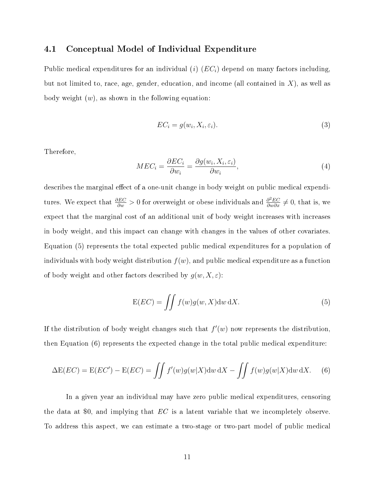#### 4.1 Conceptual Model of Individual Expenditure

Public medical expenditures for an individual (i)  $(EC_i)$  depend on many factors including, but not limited to, race, age, gender, education, and income (all contained in  $X$ ), as well as body weight  $(w)$ , as shown in the following equation:

$$
EC_i = g(w_i, X_i, \varepsilon_i). \tag{3}
$$

Therefore,

$$
MEC_i = \frac{\partial EC_i}{\partial w_i} = \frac{\partial g(w_i, X_i, \varepsilon_i)}{\partial w_i},\tag{4}
$$

describes the marginal effect of a one-unit change in body weight on public medical expenditures. We expect that  $\frac{\partial EC}{\partial w} > 0$  for overweight or obese individuals and  $\frac{\partial^2 EC}{\partial w \partial x} \neq 0$ , that is, we expect that the marginal cost of an additional unit of body weight increases with increases in body weight, and this impact can change with changes in the values of other covariates. Equation (5) represents the total expected public medical expenditures for a population of individuals with body weight distribution  $f(w)$ , and public medical expenditure as a function of body weight and other factors described by  $g(w, X, \varepsilon)$ :

$$
E(EC) = \iint f(w)g(w, X)dw\,dX.
$$
 (5)

If the distribution of body weight changes such that  $f'(w)$  now represents the distribution, then Equation (6) represents the expected change in the total public medical expenditure:

$$
\Delta E(EC) = E(EC') - E(EC) = \iint f'(w)g(w|X)dw dX - \iint f(w)g(w|X)dw dX.
$$
 (6)

In a given year an individual may have zero public medical expenditures, censoring the data at \$0, and implying that  $EC$  is a latent variable that we incompletely observe. To address this aspect, we can estimate a two-stage or two-part model of public medical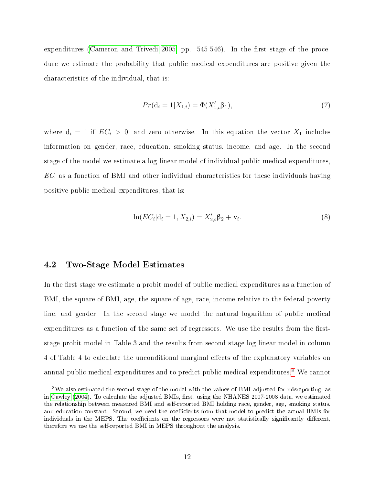expenditures [\(Cameron and Trivedi 2005,](#page-23-15) pp.  $545-546$ ). In the first stage of the procedure we estimate the probability that public medical expenditures are positive given the characteristics of the individual, that is:

$$
Pr(\mathbf{d}_i = 1 | X_{1,i}) = \Phi(X'_{1,i} \beta_1), \tag{7}
$$

where  $d_i = 1$  if  $EC_i > 0$ , and zero otherwise. In this equation the vector  $X_1$  includes information on gender, race, education, smoking status, income, and age. In the second stage of the model we estimate a log-linear model of individual public medical expenditures, EC, as a function of BMI and other individual characteristics for these individuals having positive public medical expenditures, that is:

$$
\ln(EC_i|\mathbf{d}_i=1, X_{2,i}) = X'_{2,i}\beta_2 + \mathbf{v}_i.
$$
\n(8)

#### 4.2 Two-Stage Model Estimates

In the first stage we estimate a probit model of public medical expenditures as a function of BMI, the square of BMI, age, the square of age, race, income relative to the federal poverty line, and gender. In the second stage we model the natural logarithm of public medical expenditures as a function of the same set of regressors. We use the results from the firststage probit model in Table 3 and the results from second-stage log-linear model in column 4 of Table 4 to calculate the unconditional marginal effects of the explanatory variables on annual public medical expenditures and to predict public medical expenditures.<sup>[8](#page-13-0)</sup> We cannot

<span id="page-13-0"></span><sup>8</sup>We also estimated the second stage of the model with the values of BMI adjusted for misreporting, as in [Cawley](#page-23-9) [\(2004\)](#page-23-9). To calculate the adjusted BMIs, first, using the NHANES 2007-2008 data, we estimated the relationship between measured BMI and self-reported BMI holding race, gender, age, smoking status, and education constant. Second, we used the coefficients from that model to predict the actual BMIs for individuals in the MEPS. The coefficients on the regressors were not statistically significantly different, therefore we use the self-reported BMI in MEPS throughout the analysis.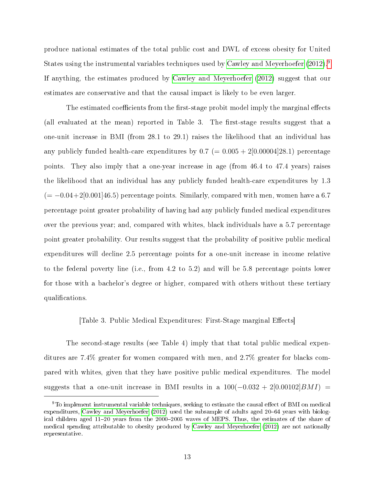produce national estimates of the total public cost and DWL of excess obesity for United States using the instrumental variables techniques used by [Cawley and Meyerhoefer](#page-23-2) [\(2012\)](#page-23-2).<sup>[9](#page-14-0)</sup> If anything, the estimates produced by [Cawley and Meyerhoefer](#page-23-2) [\(2012\)](#page-23-2) suggest that our estimates are conservative and that the causal impact is likely to be even larger.

The estimated coefficients from the first-stage probit model imply the marginal effects (all evaluated at the mean) reported in Table 3. The first-stage results suggest that a one-unit increase in BMI (from 28.1 to 29.1) raises the likelihood that an individual has any publicly funded health-care expenditures by  $0.7 (= 0.005 + 2[0.00004]28.1)$  percentage points. They also imply that a one-year increase in age (from 46.4 to 47.4 years) raises the likelihood that an individual has any publicly funded health-care expenditures by 1.3  $(=-0.04+2[0.001]46.5)$  percentage points. Similarly, compared with men, women have a 6.7 percentage point greater probability of having had any publicly funded medical expenditures over the previous year; and, compared with whites, black individuals have a 5.7 percentage point greater probability. Our results suggest that the probability of positive public medical expenditures will decline 2.5 percentage points for a one-unit increase in income relative to the federal poverty line (i.e., from 4.2 to 5.2) and will be 5.8 percentage points lower for those with a bachelor's degree or higher, compared with others without these tertiary qualifications.

#### [Table 3. Public Medical Expenditures: First-Stage marginal Effects]

The second-stage results (see Table 4) imply that that total public medical expenditures are 7.4% greater for women compared with men, and 2.7% greater for blacks compared with whites, given that they have positive public medical expenditures. The model suggests that a one-unit increase in BMI results in a  $100(-0.032 + 2[0.00102]BMI)$  =

<span id="page-14-0"></span> $9T<sub>9</sub>$  implement instrumental variable techniques, seeking to estimate the causal effect of BMI on medical expenditures, [Cawley and Meyerhoefer](#page-23-2) [\(2012\)](#page-23-2) used the subsample of adults aged 20–64 years with biological children aged 11–20 years from the 2000–2005 waves of MEPS. Thus, the estimates of the share of medical spending attributable to obesity produced by [Cawley and Meyerhoefer](#page-23-2) [\(2012\)](#page-23-2) are not nationally representative.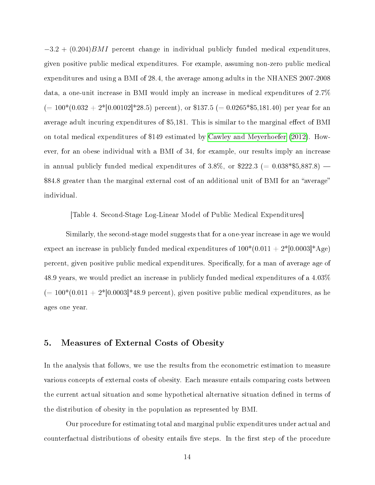$-3.2 + (0.204)$ *BMI* percent change in individual publicly funded medical expenditures, given positive public medical expenditures. For example, assuming non-zero public medical expenditures and using a BMI of 28.4, the average among adults in the NHANES 2007-2008 data, a one-unit increase in BMI would imply an increase in medical expenditures of 2.7%  $(= 100*(0.032 + 2*[0.00102]*28.5)$  percent), or \$137.5 (= 0.0265\*\$5,181.40) per year for an average adult incuring expenditures of \$5,181. This is similar to the marginal effect of BMI on total medical expenditures of \$149 estimated by [Cawley and Meyerhoefer](#page-23-2) [\(2012\)](#page-23-2). However, for an obese individual with a BMI of 34, for example, our results imply an increase in annual publicly funded medical expenditures of 3.8%, or \$222.3 (=  $0.038*$ \$5,887.8) – \$84.8 greater than the marginal external cost of an additional unit of BMI for an "average" individual.

[Table 4. Second-Stage Log-Linear Model of Public Medical Expenditures]

Similarly, the second-stage model suggests that for a one-year increase in age we would expect an increase in publicly funded medical expenditures of  $100*(0.011 + 2*[0.0003]*Age)$ percent, given positive public medical expenditures. Specifically, for a man of average age of 48.9 years, we would predict an increase in publicly funded medical expenditures of a 4.03%  $(= 100*(0.011 + 2*[0.0003]*48.9)$  percent), given positive public medical expenditures, as he ages one year.

#### 5. Measures of External Costs of Obesity

In the analysis that follows, we use the results from the econometric estimation to measure various concepts of external costs of obesity. Each measure entails comparing costs between the current actual situation and some hypothetical alternative situation defined in terms of the distribution of obesity in the population as represented by BMI.

Our procedure for estimating total and marginal public expenditures under actual and counterfactual distributions of obesity entails five steps. In the first step of the procedure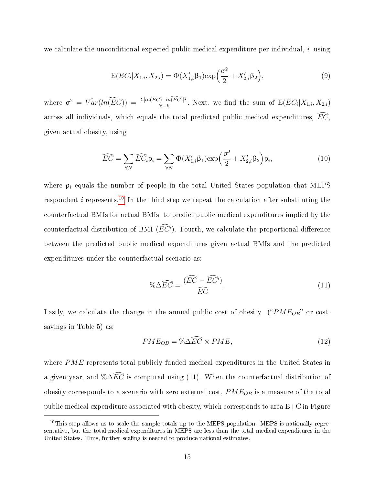we calculate the unconditional expected public medical expenditure per individual,  $i$ , using

$$
E(EC_i|X_{1,i}, X_{2,i}) = \Phi(X'_{1,i}\beta_1) \exp\left(\frac{\sigma^2}{2} + X'_{2,i}\beta_2\right),\tag{9}
$$

where  $\sigma^2 = Var(ln(\widehat{EC})) = \frac{\Sigma [ln(EC) - ln(\widehat{EC})]^2}{N-k}$ . Next, we find the sum of  $E(EC_i | X_{1,i}, X_{2,i})$ across all individuals, which equals the total predicted public medical expenditures,  $\widehat{EC}$ . given actual obesity, using

$$
\widehat{EC} = \sum_{\forall N} \widehat{EC}_i \rho_i = \sum_{\forall N} \Phi(X'_{1,i} \beta_1) \exp\left(\frac{\sigma^2}{2} + X'_{2,i} \beta_2\right) \rho_i, \tag{10}
$$

where  $\rho_i$  equals the number of people in the total United States population that MEPS respondent *i* represents.<sup>[10](#page-16-0)</sup> In the third step we repeat the calculation after substituting the counterfactual BMIs for actual BMIs, to predict public medical expenditures implied by the counterfactual distribution of BMI  $(EC')$ . Fourth, we calculate the proportional difference between the predicted public medical expenditures given actual BMIs and the predicted expenditures under the counterfactual scenario as:

$$
\% \Delta \widehat{EC} = \frac{(\widehat{EC} - \widehat{EC'})}{\widehat{EC}}.
$$
\n(11)

Lastly, we calculate the change in the annual public cost of obesity (" $PME_{OB}$ " or costsavings in Table 5) as:

$$
PME_{OB} = \% \Delta \widehat{EC} \times PME,\tag{12}
$$

where PME represents total publicly funded medical expenditures in the United States in a given year, and % $\Delta \widehat{EC}$  is computed using (11). When the counterfactual distribution of obesity corresponds to a scenario with zero external cost,  $PME_{OB}$  is a measure of the total public medical expenditure associated with obesity, which corresponds to area  $B+C$  in Figure

<span id="page-16-0"></span> $10$ This step allows us to scale the sample totals up to the MEPS population. MEPS is nationally representative, but the total medical expenditures in MEPS are less than the total medical expenditures in the United States. Thus, further scaling is needed to produce national estimates.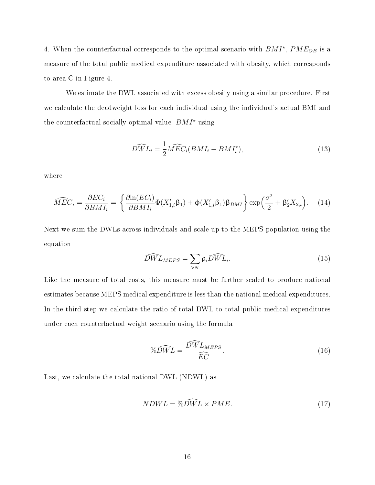4. When the counterfactual corresponds to the optimal scenario with  $BMI^*$ ,  $PME_{OB}$  is a measure of the total public medical expenditure associated with obesity, which corresponds to area C in Figure 4.

We estimate the DWL associated with excess obesity using a similar procedure. First we calculate the deadweight loss for each individual using the individual's actual BMI and the counterfactual socially optimal value,  $BMI^*$  using

$$
\widehat{DWL}_{i} = \frac{1}{2}\widehat{MEC}_{i}(BMI_{i} - BMI_{i}^{*}),\tag{13}
$$

where

$$
\widehat{MEC}_{i} = \frac{\partial EC_{i}}{\partial BMI_{i}} = \left\{ \frac{\partial \ln(EC_{i})}{\partial BMI_{i}} \Phi(X'_{1,i}\beta_{1}) + \Phi(X'_{1,i}\beta_{1})\beta_{BMI} \right\} \exp\left(\frac{\sigma^{2}}{2} + \beta'_{2}X_{2,i}\right). \tag{14}
$$

Next we sum the DWLs across individuals and scale up to the MEPS population using the equation

$$
\widehat{DW} L_{MEPS} = \sum_{\forall N} \rho_i \widehat{DW} L_i.
$$
\n(15)

Like the measure of total costs, this measure must be further scaled to produce national estimates because MEPS medical expenditure is less than the national medical expenditures. In the third step we calculate the ratio of total DWL to total public medical expenditures under each counterfactual weight scenario using the formula

$$
\%D\widehat{WL} = \frac{D\widehat{WL}_{MEPS}}{\widehat{EC}}.\tag{16}
$$

Last, we calculate the total national DWL (NDWL) as

$$
NDWL = \%D\widetilde{WL} \times PME. \tag{17}
$$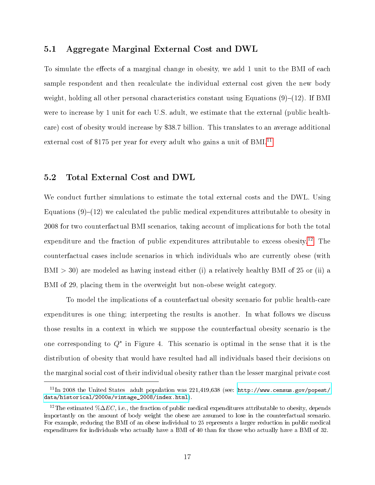#### 5.1 Aggregate Marginal External Cost and DWL

To simulate the effects of a marginal change in obesity, we add 1 unit to the BMI of each sample respondent and then recalculate the individual external cost given the new body weight, holding all other personal characteristics constant using Equations  $(9)-(12)$ . If BMI were to increase by 1 unit for each U.S. adult, we estimate that the external (public healthcare) cost of obesity would increase by \$38.7 billion. This translates to an average additional external cost of \$175 per year for every adult who gains a unit of BMI.<sup>[11](#page-18-0)</sup>

#### 5.2 Total External Cost and DWL

We conduct further simulations to estimate the total external costs and the DWL. Using Equations  $(9)-(12)$  we calculated the public medical expenditures attributable to obesity in 2008 for two counterfactual BMI scenarios, taking account of implications for both the total expenditure and the fraction of public expenditures attributable to excess obesity.<sup>[12](#page-18-1)</sup> The counterfactual cases include scenarios in which individuals who are currently obese (with  $BMI > 30$ ) are modeled as having instead either (i) a relatively healthy BMI of 25 or (ii) a BMI of 29, placing them in the overweight but non-obese weight category.

To model the implications of a counterfactual obesity scenario for public health-care expenditures is one thing; interpreting the results is another. In what follows we discuss those results in a context in which we suppose the counterfactual obesity scenario is the one corresponding to  $Q^*$  in Figure 4. This scenario is optimal in the sense that it is the distribution of obesity that would have resulted had all individuals based their decisions on the marginal social cost of their individual obesity rather than the lesser marginal private cost

<span id="page-18-0"></span> $11$ In 2008 the United States adult population was 221,419,638 (see: [http://www.census.gov/popest/](http://www.census.gov/popest/data/historical/2000s/vintage_2008/index.html) [data/historical/2000s/vintage\\_2008/index.html\)](http://www.census.gov/popest/data/historical/2000s/vintage_2008/index.html).

<span id="page-18-1"></span><sup>&</sup>lt;sup>12</sup>The estimated % $\Delta EC$ , i.e., the fraction of public medical expenditures attributable to obesity, depends importantly on the amount of body weight the obese are assumed to lose in the counterfactual scenario. For example, reducing the BMI of an obese individual to 25 represents a larger reduction in public medical expenditures for individuals who actually have a BMI of 40 than for those who actually have a BMI of 32.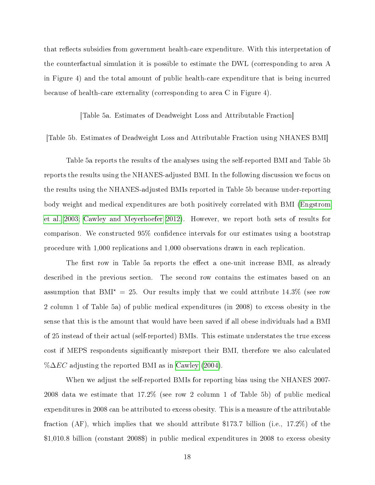that reflects subsidies from government health-care expenditure. With this interpretation of the counterfactual simulation it is possible to estimate the DWL (corresponding to area A in Figure 4) and the total amount of public health-care expenditure that is being incurred because of health-care externality (corresponding to area C in Figure 4).

[Table 5a. Estimates of Deadweight Loss and Attributable Fraction]

#### [Table 5b. Estimates of Deadweight Loss and Attributable Fraction using NHANES BMI]

Table 5a reports the results of the analyses using the self-reported BMI and Table 5b reports the results using the NHANES-adjusted BMI. In the following discussion we focus on the results using the NHANES-adjusted BMIs reported in Table 5b because under-reporting body weight and medical expenditures are both positively correlated with BMI [\(Engstrom](#page-23-16) [et al. 2003;](#page-23-16) [Cawley and Meyerhoefer 2012\)](#page-23-2). However, we report both sets of results for comparison. We constructed 95% confidence intervals for our estimates using a bootstrap procedure with 1,000 replications and 1,000 observations drawn in each replication.

The first row in Table 5a reports the effect a one-unit increase BMI, as already described in the previous section. The second row contains the estimates based on an assumption that  $BMI^* = 25$ . Our results imply that we could attribute 14.3% (see row 2 column 1 of Table 5a) of public medical expenditures (in 2008) to excess obesity in the sense that this is the amount that would have been saved if all obese individuals had a BMI of 25 instead of their actual (self-reported) BMIs. This estimate understates the true excess cost if MEPS respondents significantly misreport their BMI, therefore we also calculated % $\Delta EC$  adjusting the reported BMI as in [Cawley](#page-23-9) [\(2004\)](#page-23-9).

When we adjust the self-reported BMIs for reporting bias using the NHANES 2007- 2008 data we estimate that 17.2% (see row 2 column 1 of Table 5b) of public medical expenditures in 2008 can be attributed to excess obesity. This is a measure of the attributable fraction (AF), which implies that we should attribute \$173.7 billion (i.e., 17.2%) of the \$1,010.8 billion (constant 2008\$) in public medical expenditures in 2008 to excess obesity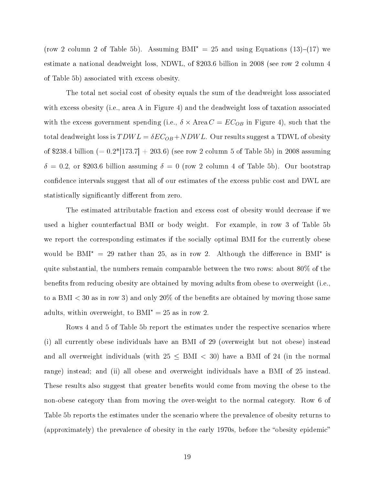(row 2 column 2 of Table 5b). Assuming  $BMI^* = 25$  and using Equations (13)–(17) we estimate a national deadweight loss, NDWL, of \$203.6 billion in 2008 (see row 2 column 4 of Table 5b) associated with excess obesity.

The total net social cost of obesity equals the sum of the deadweight loss associated with excess obesity (i.e., area A in Figure 4) and the deadweight loss of taxation associated with the excess government spending (i.e.,  $\delta \times \text{Area } C = EC_{OB}$  in Figure 4), such that the total deadweight loss is  $TDWL = \delta EC_{OB} + NDWL$ . Our results suggest a TDWL of obesity of \$238.4 billion (=  $0.2*$ [173.7] + 203.6) (see row 2 column 5 of Table 5b) in 2008 assuming  $\delta = 0.2$ , or \$203.6 billion assuming  $\delta = 0$  (row 2 column 4 of Table 5b). Our bootstrap confidence intervals suggest that all of our estimates of the excess public cost and DWL are statistically significantly different from zero.

The estimated attributable fraction and excess cost of obesity would decrease if we used a higher counterfactual BMI or body weight. For example, in row 3 of Table 5b we report the corresponding estimates if the socially optimal BMI for the currently obese would be BMI<sup>\*</sup> = 29 rather than 25, as in row 2. Although the difference in BMI<sup>\*</sup> is quite substantial, the numbers remain comparable between the two rows: about 80% of the benefits from reducing obesity are obtained by moving adults from obese to overweight (i.e., to a BMI  $<$  30 as in row 3) and only 20% of the benefits are obtained by moving those same adults, within overweight, to  $BMI^* = 25$  as in row 2.

Rows 4 and 5 of Table 5b report the estimates under the respective scenarios where (i) all currently obese individuals have an BMI of 29 (overweight but not obese) instead and all overweight individuals (with  $25 \leq BMI < 30$ ) have a BMI of 24 (in the normal range) instead; and (ii) all obese and overweight individuals have a BMI of 25 instead. These results also suggest that greater benefits would come from moving the obese to the non-obese category than from moving the over-weight to the normal category. Row 6 of Table 5b reports the estimates under the scenario where the prevalence of obesity returns to (approximately) the prevalence of obesity in the early 1970s, before the "obesity epidemic"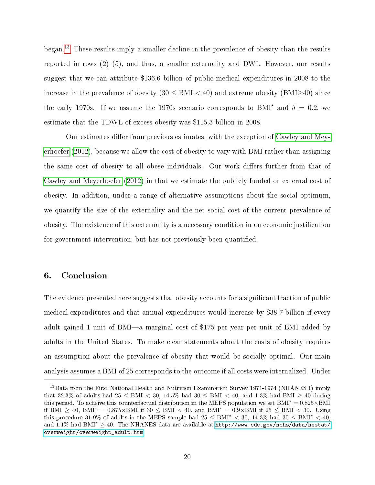began.[13](#page-21-0) These results imply a smaller decline in the prevalence of obesity than the results reported in rows  $(2)-(5)$ , and thus, a smaller externality and DWL. However, our results suggest that we can attribute \$136.6 billion of public medical expenditures in 2008 to the increase in the prevalence of obesity  $(30 \leq BMI \leq 40)$  and extreme obesity  $(BMI>40)$  since the early 1970s. If we assume the 1970s scenario corresponds to BMI<sup>\*</sup> and  $\delta = 0.2$ , we estimate that the TDWL of excess obesity was \$115.3 billion in 2008.

Our estimates differ from previous estimates, with the exception of [Cawley and Mey](#page-23-2)[erhoefer](#page-23-2) [\(2012\)](#page-23-2), because we allow the cost of obesity to vary with BMI rather than assigning the same cost of obesity to all obese individuals. Our work differs further from that of [Cawley and Meyerhoefer](#page-23-2) [\(2012\)](#page-23-2) in that we estimate the publicly funded or external cost of obesity. In addition, under a range of alternative assumptions about the social optimum, we quantify the size of the externality and the net social cost of the current prevalence of obesity. The existence of this externality is a necessary condition in an economic justification for government intervention, but has not previously been quantified.

#### 6. Conclusion

The evidence presented here suggests that obesity accounts for a significant fraction of public medical expenditures and that annual expenditures would increase by \$38.7 billion if every adult gained 1 unit of BMI—a marginal cost of \$175 per year per unit of BMI added by adults in the United States. To make clear statements about the costs of obesity requires an assumption about the prevalence of obesity that would be socially optimal. Our main analysis assumes a BMI of 25 corresponds to the outcome if all costs were internalized. Under

<span id="page-21-0"></span> $^{13}$ Data from the First National Health and Nutrition Examination Survey 1971-1974 (NHANES I) imply that 32.3% of adults had  $25 \leq BMI < 30$ ,  $14.5\%$  had  $30 \leq BMI < 40$ , and  $1.3\%$  had  $BMI \geq 40$  during this period. To acheive this counterfactual distribution in the MEPS population we set  $BMI^* = 0.825 \times BMI$ if BMI  $\geq 40$ , BMI<sup>\*</sup> = 0.875×BMI if 30  $\leq$  BMI  $< 40$ , and BMI<sup>\*</sup> = 0.9×BMI if 25  $\leq$  BMI  $< 30$ . Using this procedure 31.9% of adults in the MEPS sample had  $25 \leq \text{BMI}^* < 30$ , 14.3% had  $30 \leq \text{BMI}^* < 40$ , and 1.1% had BMI<sup>\*</sup>  $\geq$  40. The NHANES data are available at[:http://www.cdc.gov/nchs/data/hestat/](http://www.cdc.gov/nchs/data/hestat/overweight/overweight_adult.htm) [overweight/overweight\\_adult.htm](http://www.cdc.gov/nchs/data/hestat/overweight/overweight_adult.htm)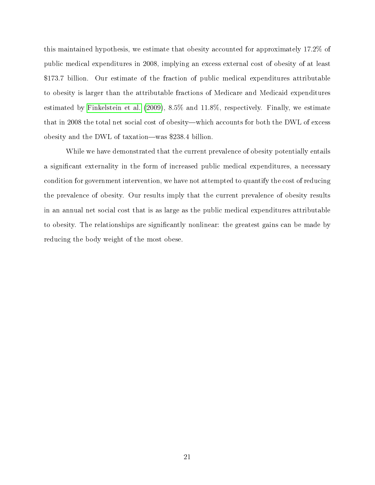this maintained hypothesis, we estimate that obesity accounted for approximately 17.2% of public medical expenditures in 2008, implying an excess external cost of obesity of at least \$173.7 billion. Our estimate of the fraction of public medical expenditures attributable to obesity is larger than the attributable fractions of Medicare and Medicaid expenditures estimated by [Finkelstein et al.](#page-23-1) [\(2009\)](#page-23-1), 8.5% and 11.8%, respectively. Finally, we estimate that in 2008 the total net social cost of obesity—which accounts for both the DWL of excess obesity and the DWL of taxation—was \$238.4 billion.

While we have demonstrated that the current prevalence of obesity potentially entails a significant externality in the form of increased public medical expenditures, a necessary condition for government intervention, we have not attempted to quantify the cost of reducing the prevalence of obesity. Our results imply that the current prevalence of obesity results in an annual net social cost that is as large as the public medical expenditures attributable to obesity. The relationships are significantly nonlinear: the greatest gains can be made by reducing the body weight of the most obese.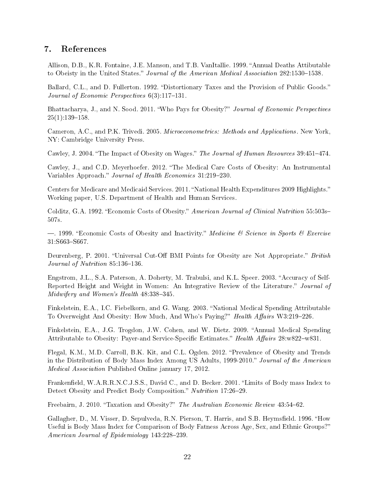#### 7. References

<span id="page-23-12"></span>Allison, D.B., K.R. Fontaine, J.E. Manson, and T.B. VanItallie. 1999. "Annual Deaths Attibutable to Obeisty in the United States." Journal of the American Medical Association 282:1530-1538.

<span id="page-23-10"></span>Ballard, C.L., and D. Fullerton. 1992. "Distortionary Taxes and the Provision of Public Goods." Journal of Economic Perspectives  $6(3)$ :117-131.

<span id="page-23-4"></span>Bhattacharya, J., and N. Sood. 2011. "Who Pays for Obesity?" Journal of Economic Perspectives  $25(1):139-158.$ 

<span id="page-23-15"></span>Cameron, A.C., and P.K. Trivedi. 2005. Microeconometrics: Methods and Applications. New York, NY: Cambridge University Press.

<span id="page-23-9"></span>Cawley, J. 2004. "The Impact of Obesity on Wages." The Journal of Human Resources 39:451-474.

<span id="page-23-2"></span>Cawley, J., and C.D. Meyerhoefer. 2012. The Medical Care Costs of Obesity: An Instrumental Variables Approach." Journal of Health Economics 31:219–230.

<span id="page-23-8"></span>Centers for Medicare and Medicaid Services. 2011. "National Health Expenditures 2009 Highlights." Working paper, U.S. Department of Health and Human Services.

<span id="page-23-11"></span>Colditz, G.A. 1992. "Economic Costs of Obesity." American Journal of Clinical Nutrition 55:503s-507s.

<span id="page-23-13"></span> $-$ . 1999. "Economic Costs of Obesity and Inactivity." Medicine & Science in Sports & Exercise 31:S663-S667.

<span id="page-23-6"></span>Deurenberg, P. 2001. "Universal Cut-Off BMI Points for Obesity are Not Appropriate." British Journal of Nutrition  $85.136-136$ .

<span id="page-23-16"></span>Engstrom, J.L., S.A. Paterson, A. Doherty, M. Trabulsi, and K.L. Speer. 2003. "Accuracy of Self-Reported Height and Weight in Women: An Integrative Review of the Literature." Journal of Midwifery and Women's Health  $48:338-345$ .

<span id="page-23-14"></span>Finkelstein, E.A., I.C. Fiebelkorn, and G. Wang. 2003. "National Medical Spending Attributable To Overweight And Obesity: How Much, And Who's Paying?" Health Affairs W3:219-226.

<span id="page-23-1"></span>Finkelstein, E.A., J.G. Trogdon, J.W. Cohen, and W. Dietz. 2009. "Annual Medical Spending Attributable to Obesity: Payer-and Service-Specific Estimates." Health Affairs 28:w822-w831.

<span id="page-23-0"></span>Flegal, K.M., M.D. Carroll, B.K. Kit, and C.L. Ogden. 2012. "Prevalence of Obesity and Trends in the Distribution of Body Mass Index Among US Adults, 1999-2010." Journal of the American Medical Association Published Online january 17, 2012.

<span id="page-23-7"></span>Frankenfield, W.A.R.R.N.C.J.S.S., David C., and D. Becker. 2001. "Limits of Body mass Index to Detect Obesity and Predict Body Composition." Nutrition 17:26-29.

<span id="page-23-3"></span>Freebairn, J. 2010. "Taxation and Obesity?" The Australian Economic Review 43:54–62.

<span id="page-23-5"></span>Gallagher, D., M. Visser, D. Sepulveda, R.N. Pierson, T. Harris, and S.B. Heymsfield. 1996. "How Useful is Body Mass Index for Comparison of Body Fatness Across Age, Sex, and Ethnic Groups? American Journal of Epidemiology 143:228-239.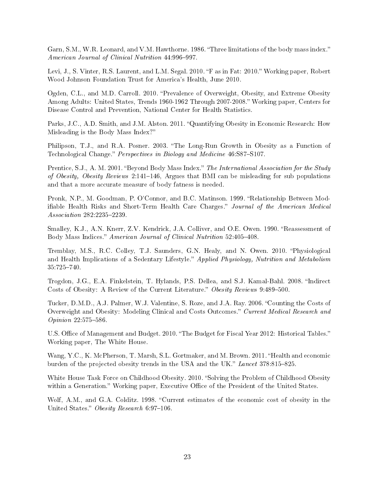<span id="page-24-4"></span>Garn, S.M., W.R. Leonard, and V.M. Hawthorne. 1986. "Three limitations of the body mass index." American Journal of Clinical Nutrition 44:996-997.

<span id="page-24-3"></span>Levi, J., S. Vinter, R.S. Laurent, and L.M. Segal. 2010. "F as in Fat: 2010." Working paper, Robert Wood Johnson Foundation Trust for America's Health, June 2010.

<span id="page-24-0"></span>Ogden, C.L., and M.D. Carroll. 2010. "Prevalence of Overweight, Obesity, and Extreme Obesity Among Adults: United States, Trends 1960-1962 Through 2007-2008. Working paper, Centers for Disease Control and Prevention, National Center for Health Statistics.

<span id="page-24-6"></span>Parks, J.C., A.D. Smith, and J.M. Alston. 2011. "Quantifying Obesity in Economic Research: How Misleading is the Body Mass Index?

<span id="page-24-8"></span>Philipson, T.J., and R.A. Posner. 2003. The Long-Run Growth in Obesity as a Function of Technological Change." Perspectives in Biology and Medicine 46:S87-S107.

<span id="page-24-7"></span>Prentice, S.J., A. M. 2001. "Beyond Body Mass Index." The International Association for the Study of Obesity, Obesity Reviews 2:141-146, Argues that BMI can be misleading for sub populations and that a more accurate measure of body fatness is needed.

<span id="page-24-12"></span>Pronk, N.P., M. Goodman, P. O'Connor, and B.C. Matinson. 1999. "Relationship Between Modifiable Health Risks and Short-Term Health Care Charges." Journal of the American Medical Association 282:2235-2239.

<span id="page-24-5"></span>Smalley, K.J., A.N. Knerr, Z.V. Kendrick, J.A. Colliver, and O.E. Owen. 1990. "Reassessment of Body Mass Indices." American Journal of Clinical Nutrition 52:405-408.

<span id="page-24-10"></span>Tremblay, M.S., R.C. Colley, T.J. Saunders, G.N. Healy, and N. Owen. 2010. Physiological and Health Implications of a Sedentary Lifestyle." Applied Physiology, Nutrition and Metabolism 35:725740.

<span id="page-24-9"></span>Trogdon, J.G., E.A. Finkelstein, T. Hylands, P.S. Dellea, and S.J. Kamal-Bahl. 2008. "Indirect Costs of Obesity: A Review of the Current Literature." Obesity Reviews 9:489-500.

<span id="page-24-11"></span>Tucker, D.M.D., A.J. Palmer, W.J. Valentine, S. Roze, and J.A. Ray. 2006. "Counting the Costs of Overweight and Obesity: Modeling Clinical and Costs Outcomes." Current Medical Research and  $Opinion$  22:575-586.

U.S. Office of Management and Budget. 2010. "The Budget for Fiscal Year 2012: Historical Tables." Working paper, The White House.

<span id="page-24-2"></span>Wang, Y.C., K. McPherson, T. Marsh, S.L. Gortmaker, and M. Brown. 2011. "Health and economic burden of the projected obesity trends in the USA and the UK." Lancet 378:815-825.

White House Task Force on Childhood Obesity. 2010. "Solving the Problem of Childhood Obesity within a Generation." Working paper, Executive Office of the President of the United States.

<span id="page-24-1"></span>Wolf, A.M., and G.A. Colditz. 1998. "Current estimates of the economic cost of obesity in the United States." Obesity Research 6:97-106.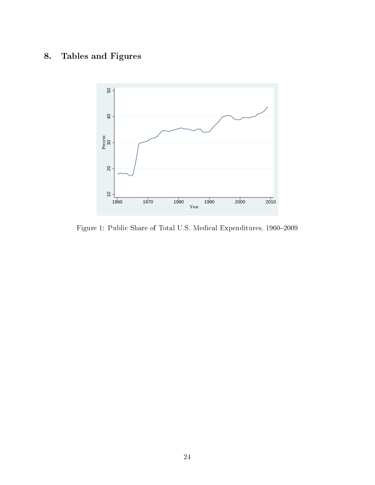## 8. Tables and Figures



Figure 1: Public Share of Total U.S. Medical Expenditures,  $1960-2009$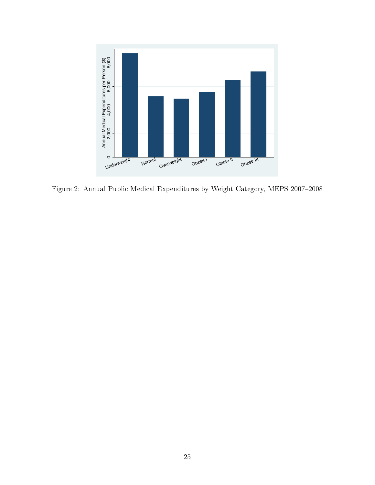

Figure 2: Annual Public Medical Expenditures by Weight Category, MEPS  $2007-2008$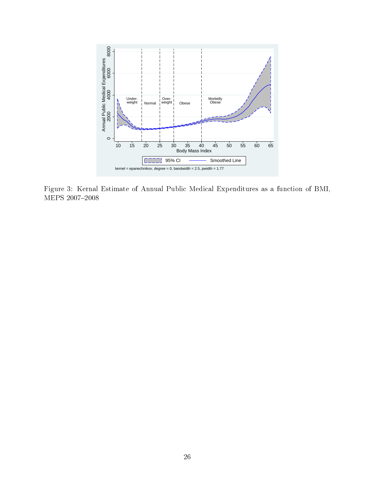

Figure 3: Kernal Estimate of Annual Public Medical Expenditures as a function of BMI, MEPS 2007-2008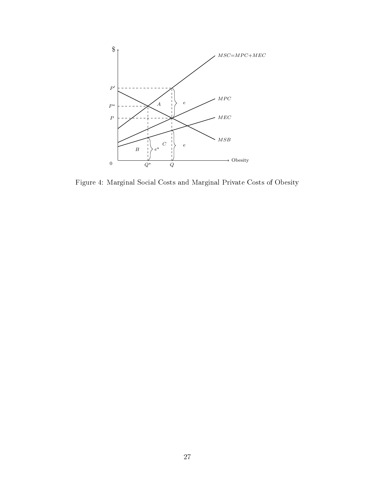

Figure 4: Marginal Social Costs and Marginal Private Costs of Obesity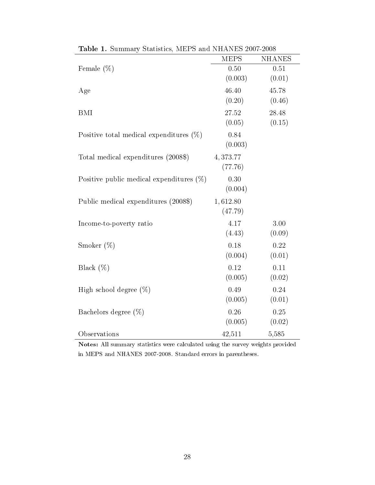|                                             | <b>MEPS</b> | <b>NHANES</b> |
|---------------------------------------------|-------------|---------------|
| Female $(\%)$                               | 0.50        | 0.51          |
|                                             | (0.003)     | (0.01)        |
| Age                                         | 46.40       | 45.78         |
|                                             | (0.20)      | (0.46)        |
| <b>BMI</b>                                  | 27.52       | 28.48         |
|                                             | (0.05)      | (0.15)        |
| Positive total medical expenditures $(\%)$  | 0.84        |               |
|                                             | (0.003)     |               |
| Total medical expenditures (2008\$)         | 4,373.77    |               |
|                                             | (77.76)     |               |
| Positive public medical expenditures $(\%)$ | 0.30        |               |
|                                             | (0.004)     |               |
| Public medical expenditures (2008\$)        | 1,612.80    |               |
|                                             | (47.79)     |               |
| Income-to-poverty ratio                     | 4.17        | 3.00          |
|                                             | (4.43)      | (0.09)        |
| Smoker $(\%)$                               | 0.18        | 0.22          |
|                                             | (0.004)     | (0.01)        |
| Black $(\%)$                                | 0.12        | 0.11          |
|                                             | (0.005)     | (0.02)        |
| High school degree $(\%)$                   | 0.49        | 0.24          |
|                                             | (0.005)     | (0.01)        |
| Bachelors degree $(\%)$                     | 0.26        | 0.25          |
|                                             | (0.005)     | (0.02)        |
| Observations                                | 42,511      | 5,585         |

Table 1. Summary Statistics, MEPS and NHANES 2007-2008

Notes: All summary statistics were calculated using the survey weights provided in MEPS and NHANES 2007-2008. Standard errors in parentheses.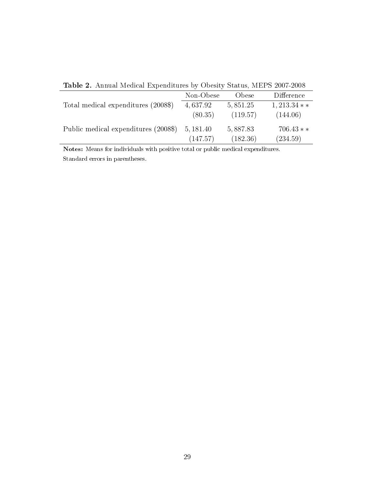|                                      | Non-Obese | Obese     | Difference   |
|--------------------------------------|-----------|-----------|--------------|
| Total medical expenditures (2008\$)  | 4,637.92  | 5, 851.25 | $1,213.34**$ |
|                                      | (80.35)   | (119.57)  | (144.06)     |
| Public medical expenditures (2008\$) | 5, 181.40 | 5,887.83  | $706.43**$   |
|                                      | (147.57)  | (182.36)  | (234.59)     |

Table 2. Annual Medical Expenditures by Obesity Status, MEPS 2007-2008

Notes: Means for individuals with positive total or public medical expenditures. Standard errors in parentheses.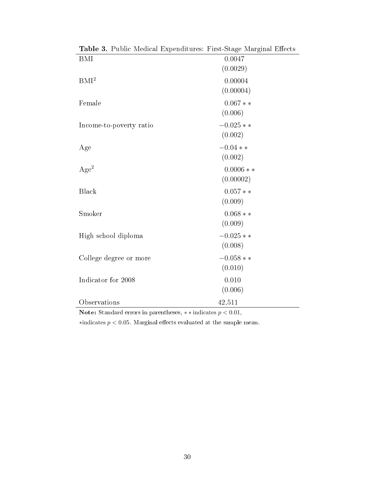| <b>BMI</b>              | 0.0047     |
|-------------------------|------------|
|                         | (0.0029)   |
| BMI <sup>2</sup>        | 0.00004    |
|                         | (0.00004)  |
| Female                  | $0.067**$  |
|                         | (0.006)    |
| Income-to-poverty ratio | $-0.025**$ |
|                         | (0.002)    |
| Age                     | $-0.04**$  |
|                         | (0.002)    |
| Age <sup>2</sup>        | $0.0006**$ |
|                         | (0.00002)  |
| <b>Black</b>            | $0.057**$  |
|                         | (0.009)    |
| Smoker                  | $0.068**$  |
|                         | (0.009)    |
| High school diploma     | $-0.025**$ |
|                         | (0.008)    |
| College degree or more  | $-0.058**$ |
|                         | (0.010)    |
| Indicator for 2008      | 0.010      |
|                         | (0.006)    |
| Observations            | 42,511     |

Table 3. Public Medical Expenditures: First-Stage Marginal Effects

Note: Standard errors in parentheses,  $**$  indicates  $p < 0.01$ ,

 $\ast$ indicates  $p < 0.05$  . Marginal effects evaluated at the sample mean.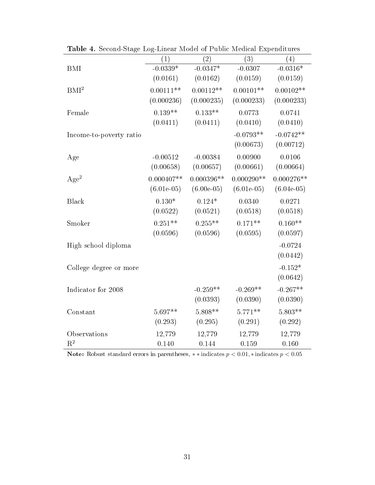|                         | (1)          | (2)           | (3)           | (4)          |
|-------------------------|--------------|---------------|---------------|--------------|
| <b>BMI</b>              | $-0.0339*$   | $-0.0347*$    | $-0.0307$     | $-0.0316*$   |
|                         | (0.0161)     | (0.0162)      | (0.0159)      | (0.0159)     |
| BMI <sup>2</sup>        | $0.00111**$  | $0.00112**$   | $0.00101**$   | $0.00102**$  |
|                         | (0.000236)   | (0.000235)    | (0.000233)    | (0.000233)   |
| Female                  | $0.139**$    | $0.133**$     | 0.0773        | 0.0741       |
|                         | (0.0411)     | (0.0411)      | (0.0410)      | (0.0410)     |
| Income-to-poverty ratio |              |               | $-0.0793**$   | $-0.0742**$  |
|                         |              |               | (0.00673)     | (0.00712)    |
| Age                     | $-0.00512$   | $-0.00384$    | 0.00900       | 0.0106       |
|                         | (0.00658)    | (0.00657)     | (0.00661)     | (0.00664)    |
| Age <sup>2</sup>        | $0.000407**$ | $0.000396**$  | $0.000290**$  | $0.000276**$ |
|                         | $(6.01e-05)$ | $(6.00e-0.5)$ | $(6.01e-0.5)$ | $(6.04e-05)$ |
| <b>Black</b>            | $0.130*$     | $0.124*$      | 0.0340        | 0.0271       |
|                         | (0.0522)     | (0.0521)      | (0.0518)      | (0.0518)     |
| Smoker                  | $0.251**$    | $0.255**$     | $0.171**$     | $0.160**$    |
|                         | (0.0596)     | (0.0596)      | (0.0595)      | (0.0597)     |
| High school diploma     |              |               |               | $-0.0724$    |
|                         |              |               |               | (0.0442)     |
| College degree or more  |              |               |               | $-0.152*$    |
|                         |              |               |               | (0.0642)     |
| Indicator for 2008      |              | $-0.259**$    | $-0.269**$    | $-0.267**$   |
|                         |              | (0.0393)      | (0.0390)      | (0.0390)     |
| Constant                | $5.697**$    | $5.808**$     | $5.771**$     | $5.803**$    |
|                         | (0.293)      | (0.295)       | (0.291)       | (0.292)      |
| Observations            | 12,779       | 12,779        | 12,779        | 12,779       |
| $R^2$                   | 0.140        | 0.144         | 0.159         | 0.160        |

Table 4. Second-Stage Log-Linear Model of Public Medical Expenditures

Note: Robust standard errors in parentheses,  $**$  indicates  $p < 0.01$ ,  $*$  indicates  $p < 0.05$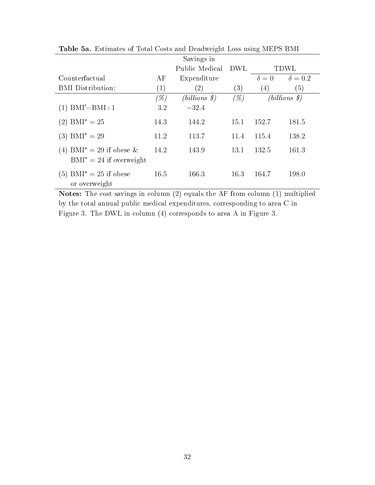|                                                                    |                   | Savings in                     |                  |                  |                          |
|--------------------------------------------------------------------|-------------------|--------------------------------|------------------|------------------|--------------------------|
|                                                                    |                   | Public Medical                 | DWL              |                  | TDWL                     |
| Counterfactual                                                     | AF                | Expenditure                    |                  | $\delta = 0$     | $\delta = 0.2$           |
| <b>BMI</b> Distribution:                                           | $\left( 1\right)$ | $\left( 2\right)$              | $\left(3\right)$ | $\left(4\right)$ | $\left(5\right)$         |
|                                                                    | $(\%)$            | $(billions \, \, \mathcal{S})$ | $(\%)$           |                  | $(billions \mathcal{S})$ |
| $(1)$ BMI'=BMI+1                                                   | 3.2               | $-32.4$                        |                  |                  |                          |
| $(2)$ BMI <sup>*</sup> = 25                                        | 14.3              | 144.2                          | 15.1             | 152.7            | 181.5                    |
| $(3)$ BMI <sup>*</sup> = 29                                        | 11.2              | 113.7                          | 11.4             | 115.4            | 138.2                    |
| (4) BMI <sup>*</sup> = 29 if obese &<br>$BMI^* = 24$ if overweight | 14.2              | 143.9                          | 13.1             | 132.5            | 161.3                    |
| $(5)$ BMI <sup>*</sup> = 25 if obese<br>or overweight              | 16.5              | 166.3                          | 16.3             | 164.7            | 198.0                    |

Table 5a. Estimates of Total Costs and Deadweight Loss using MEPS BMI

Notes: The cost savings in column (2) equals the AF from column (1) multiplied by the total annual public medical expenditures, corresponding to area C in Figure 3. The DWL in column (4) corresponds to area A in Figure 3.